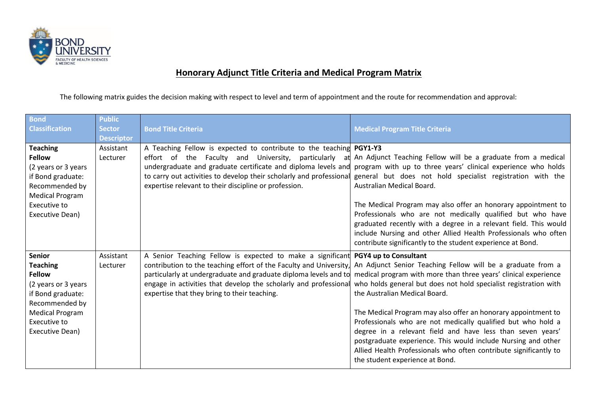

## **Honorary Adjunct Title Criteria and Medical Program Matrix**

The following matrix guides the decision making with respect to level and term of appointment and the route for recommendation and approval:

| <b>Bond</b><br><b>Classification</b>                                                                                                                                  | <b>Public</b><br><b>Sector</b><br><b>Descriptor</b> | <b>Bond Title Criteria</b>                                                                                                                                                                                                                                                                                                                     | <b>Medical Program Title Criteria</b>                                                                                                                                                                                                                                                                                                                                                                                                                                                                                                                                                                       |
|-----------------------------------------------------------------------------------------------------------------------------------------------------------------------|-----------------------------------------------------|------------------------------------------------------------------------------------------------------------------------------------------------------------------------------------------------------------------------------------------------------------------------------------------------------------------------------------------------|-------------------------------------------------------------------------------------------------------------------------------------------------------------------------------------------------------------------------------------------------------------------------------------------------------------------------------------------------------------------------------------------------------------------------------------------------------------------------------------------------------------------------------------------------------------------------------------------------------------|
| <b>Teaching</b><br><b>Fellow</b><br>(2 years or 3 years<br>if Bond graduate:<br>Recommended by<br><b>Medical Program</b><br>Executive to<br>Executive Dean)           | Assistant<br>Lecturer                               | A Teaching Fellow is expected to contribute to the teaching PGY1-Y3<br>effort of the Faculty and University, particularly<br>at<br>undergraduate and graduate certificate and diploma levels and<br>to carry out activities to develop their scholarly and professional<br>expertise relevant to their discipline or profession.               | An Adjunct Teaching Fellow will be a graduate from a medical<br>program with up to three years' clinical experience who holds<br>general but does not hold specialist registration with the<br>Australian Medical Board.<br>The Medical Program may also offer an honorary appointment to<br>Professionals who are not medically qualified but who have<br>graduated recently with a degree in a relevant field. This would                                                                                                                                                                                 |
|                                                                                                                                                                       |                                                     |                                                                                                                                                                                                                                                                                                                                                | include Nursing and other Allied Health Professionals who often<br>contribute significantly to the student experience at Bond.                                                                                                                                                                                                                                                                                                                                                                                                                                                                              |
| Senior<br><b>Teaching</b><br><b>Fellow</b><br>(2 years or 3 years<br>if Bond graduate:<br>Recommended by<br><b>Medical Program</b><br>Executive to<br>Executive Dean) | Assistant<br>Lecturer                               | A Senior Teaching Fellow is expected to make a significant PGY4 up to Consultant<br>contribution to the teaching effort of the Faculty and University,<br>particularly at undergraduate and graduate diploma levels and to<br>engage in activities that develop the scholarly and professional<br>expertise that they bring to their teaching. | An Adjunct Senior Teaching Fellow will be a graduate from a<br>medical program with more than three years' clinical experience<br>who holds general but does not hold specialist registration with<br>the Australian Medical Board.<br>The Medical Program may also offer an honorary appointment to<br>Professionals who are not medically qualified but who hold a<br>degree in a relevant field and have less than seven years'<br>postgraduate experience. This would include Nursing and other<br>Allied Health Professionals who often contribute significantly to<br>the student experience at Bond. |